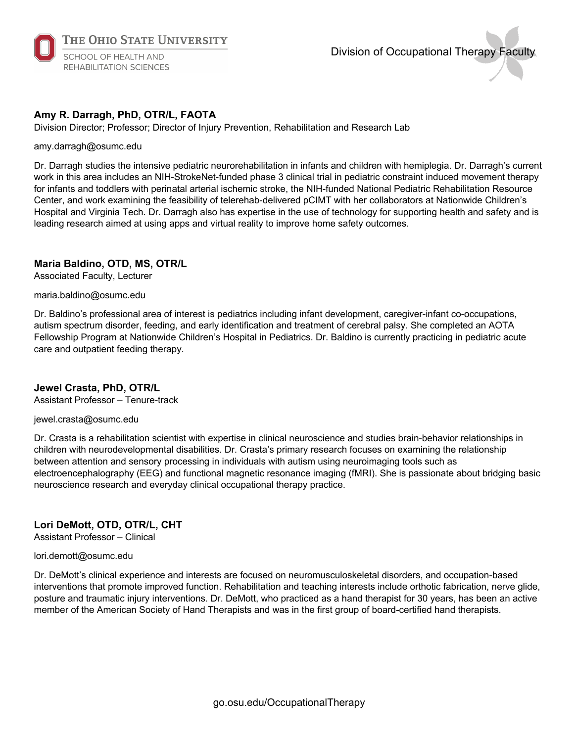

# Division of Occupational Therapy Faculty

## **Amy R. Darragh, PhD, OTR/L, FAOTA**

Division Director; Professor; Director of Injury Prevention, Rehabilitation and Research Lab

#### amy.darragh@osumc.edu

Dr. Darragh studies the intensive pediatric neurorehabilitation in infants and children with hemiplegia. Dr. Darragh's current work in this area includes an NIH-StrokeNet-funded phase 3 clinical trial in pediatric constraint induced movement therapy for infants and toddlers with perinatal arterial ischemic stroke, the NIH-funded National Pediatric Rehabilitation Resource Center, and work examining the feasibility of telerehab-delivered pCIMT with her collaborators at Nationwide Children's Hospital and Virginia Tech. Dr. Darragh also has expertise in the use of technology for supporting health and safety and is leading research aimed at using apps and virtual reality to improve home safety outcomes.

### **Maria Baldino, OTD, MS, OTR/L**

Associated Faculty, Lecturer

#### maria.baldino@osumc.edu

Dr. Baldino's professional area of interest is pediatrics including infant development, caregiver-infant co-occupations, autism spectrum disorder, feeding, and early identification and treatment of cerebral palsy. She completed an AOTA Fellowship Program at Nationwide Children's Hospital in Pediatrics. Dr. Baldino is currently practicing in pediatric acute care and outpatient feeding therapy.

#### **Jewel Crasta, PhD, OTR/L**

Assistant Professor – Tenure-track

#### jewel.crasta@osumc.edu

Dr. Crasta is a rehabilitation scientist with expertise in clinical neuroscience and studies brain-behavior relationships in children with neurodevelopmental disabilities. Dr. Crasta's primary research focuses on examining the relationship between attention and sensory processing in individuals with autism using neuroimaging tools such as electroencephalography (EEG) and functional magnetic resonance imaging (fMRI). She is passionate about bridging basic neuroscience research and everyday clinical occupational therapy practice.

# **Lori DeMott, OTD, OTR/L, CHT**

Assistant Professor – Clinical

#### lori.demott@osumc.edu

Dr. DeMott's clinical experience and interests are focused on neuromusculoskeletal disorders, and occupation-based interventions that promote improved function. Rehabilitation and teaching interests include orthotic fabrication, nerve glide, posture and traumatic injury interventions. Dr. DeMott, who practiced as a hand therapist for 30 years, has been an active member of the American Society of Hand Therapists and was in the first group of board-certified hand therapists.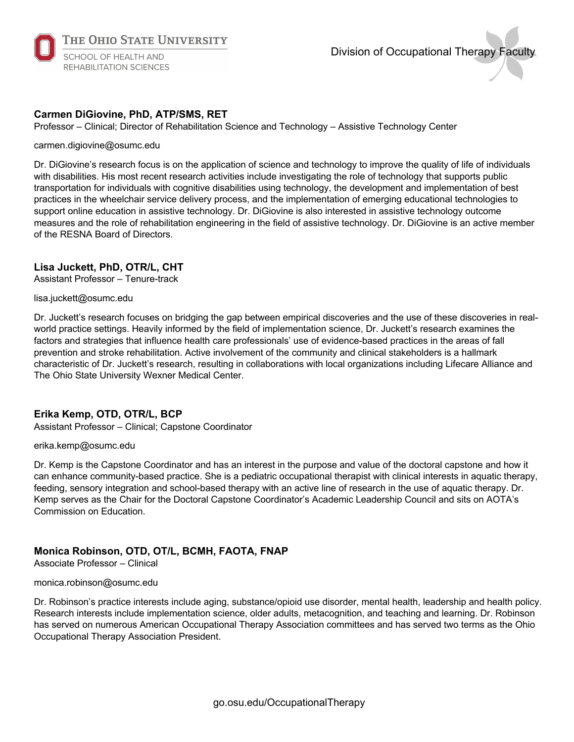

# Division of Occupational Therapy Faculty

# **Carmen DiGiovine, PhD, ATP/SMS, RET**

Professor – Clinical; Director of Rehabilitation Science and Technology – Assistive Technology Center

#### carmen.digiovine@osumc.edu

Dr. DiGiovine's research focus is on the application of science and technology to improve the quality of life of individuals with disabilities. His most recent research activities include investigating the role of technology that supports public transportation for individuals with cognitive disabilities using technology, the development and implementation of best practices in the wheelchair service delivery process, and the implementation of emerging educational technologies to support online education in assistive technology. Dr. DiGiovine is also interested in assistive technology outcome measures and the role of rehabilitation engineering in the field of assistive technology. Dr. DiGiovine is an active member of the RESNA Board of Directors.

### **Lisa Juckett, PhD, OTR/L, CHT**

Assistant Professor – Tenure-track

#### lisa.juckett@osumc.edu

Dr. Juckett's research focuses on bridging the gap between empirical discoveries and the use of these discoveries in realworld practice settings. Heavily informed by the field of implementation science, Dr. Juckett's research examines the factors and strategies that influence health care professionals' use of evidence-based practices in the areas of fall prevention and stroke rehabilitation. Active involvement of the community and clinical stakeholders is a hallmark characteristic of Dr. Juckett's research, resulting in collaborations with local organizations including Lifecare Alliance and The Ohio State University Wexner Medical Center.

## **Erika Kemp, OTD, OTR/L, BCP**

Assistant Professor – Clinical; Capstone Coordinator

#### erika.kemp@osumc.edu

Dr. Kemp is the Capstone Coordinator and has an interest in the purpose and value of the doctoral capstone and how it can enhance community-based practice. She is a pediatric occupational therapist with clinical interests in aquatic therapy, feeding, sensory integration and school-based therapy with an active line of research in the use of aquatic therapy. Dr. Kemp serves as the Chair for the Doctoral Capstone Coordinator's Academic Leadership Council and sits on AOTA's Commission on Education.

## **Monica Robinson, OTD, OT/L, BCMH, FAOTA, FNAP**

Associate Professor – Clinical

#### monica.robinson@osumc.edu

Dr. Robinson's practice interests include aging, substance/opioid use disorder, mental health, leadership and health policy. Research interests include implementation science, older adults, metacognition, and teaching and learning. Dr. Robinson has served on numerous American Occupational Therapy Association committees and has served two terms as the Ohio Occupational Therapy Association President.